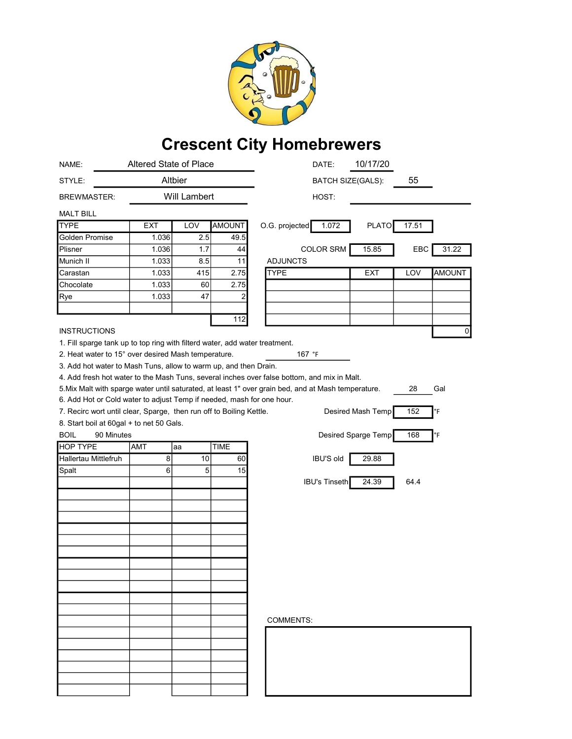

## Crescent City Homebrewers

| NAME:                                                                                                            | Altered State of Place |              |               | 10/17/20<br>DATE:                                                                           |
|------------------------------------------------------------------------------------------------------------------|------------------------|--------------|---------------|---------------------------------------------------------------------------------------------|
| STYLE:                                                                                                           | Altbier                |              |               | 55<br><b>BATCH SIZE(GALS):</b>                                                              |
| <b>BREWMASTER:</b>                                                                                               |                        | Will Lambert |               | HOST:                                                                                       |
| <b>MALT BILL</b>                                                                                                 |                        |              |               |                                                                                             |
| <b>TYPE</b>                                                                                                      | <b>EXT</b>             | LOV          | <b>AMOUNT</b> | 1.072<br><b>PLATO</b><br>17.51<br>O.G. projected                                            |
| Golden Promise                                                                                                   | 1.036                  | 2.5          | 49.5          |                                                                                             |
| Plisner                                                                                                          | 1.036                  | 1.7          | 44            | <b>COLOR SRM</b><br>15.85<br>EBC<br>31.22                                                   |
| Munich II                                                                                                        | 1.033                  | 8.5          | 11            | <b>ADJUNCTS</b>                                                                             |
| Carastan                                                                                                         | 1.033                  | 415          | 2.75          | <b>TYPE</b><br><b>EXT</b><br>LOV<br><b>AMOUNT</b>                                           |
| Chocolate                                                                                                        | 1.033                  | 60           | 2.75          |                                                                                             |
| Rye                                                                                                              | 1.033                  | 47           | 2             |                                                                                             |
|                                                                                                                  |                        |              |               |                                                                                             |
|                                                                                                                  |                        |              | 112           |                                                                                             |
| <b>INSTRUCTIONS</b>                                                                                              |                        |              |               | 0                                                                                           |
| 1. Fill sparge tank up to top ring with filterd water, add water treatment.                                      |                        |              |               |                                                                                             |
| 2. Heat water to 15° over desired Mash temperature.<br>167 °F                                                    |                        |              |               |                                                                                             |
| 3. Add hot water to Mash Tuns, allow to warm up, and then Drain.                                                 |                        |              |               |                                                                                             |
|                                                                                                                  |                        |              |               | 4. Add fresh hot water to the Mash Tuns, several inches over false bottom, and mix in Malt. |
| 5. Mix Malt with sparge water until saturated, at least 1" over grain bed, and at Mash temperature.<br>28<br>Gal |                        |              |               |                                                                                             |
| 6. Add Hot or Cold water to adjust Temp if needed, mash for one hour.                                            |                        |              |               |                                                                                             |
| 7. Recirc wort until clear, Sparge, then run off to Boiling Kettle.<br>Desired Mash Temp<br>152<br>°F            |                        |              |               |                                                                                             |
| 8. Start boil at 60gal + to net 50 Gals.                                                                         |                        |              |               |                                                                                             |
| <b>BOIL</b><br>90 Minutes                                                                                        |                        |              |               | Desired Sparge Temp<br>168<br>°F                                                            |
| <b>HOP TYPE</b>                                                                                                  | AMT                    | aa           | <b>TIME</b>   |                                                                                             |
| <b>Hallertau Mittlefruh</b>                                                                                      | 8                      | 10           | 60            | <b>IBU'S old</b><br>29.88                                                                   |
| Spalt                                                                                                            | 6                      | 5            | 15            |                                                                                             |
|                                                                                                                  |                        |              |               | <b>IBU's Tinseth</b><br>24.39<br>64.4                                                       |
|                                                                                                                  |                        |              |               |                                                                                             |
|                                                                                                                  |                        |              |               |                                                                                             |
|                                                                                                                  |                        |              |               |                                                                                             |
|                                                                                                                  |                        |              |               |                                                                                             |
|                                                                                                                  |                        |              |               |                                                                                             |
|                                                                                                                  |                        |              |               |                                                                                             |
|                                                                                                                  |                        |              |               |                                                                                             |
|                                                                                                                  |                        |              |               |                                                                                             |
|                                                                                                                  |                        |              |               |                                                                                             |
|                                                                                                                  |                        |              |               |                                                                                             |
|                                                                                                                  |                        |              |               |                                                                                             |
|                                                                                                                  |                        |              |               | <b>COMMENTS:</b>                                                                            |
|                                                                                                                  |                        |              |               |                                                                                             |
|                                                                                                                  |                        |              |               |                                                                                             |
|                                                                                                                  |                        |              |               |                                                                                             |
|                                                                                                                  |                        |              |               |                                                                                             |
|                                                                                                                  |                        |              |               |                                                                                             |
|                                                                                                                  |                        |              |               |                                                                                             |
|                                                                                                                  |                        |              |               |                                                                                             |